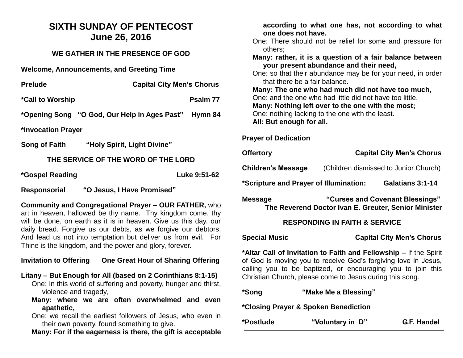# **SIXTH SUNDAY OF PENTECOST June 26, 2016**

### **WE GATHER IN THE PRESENCE OF GOD**

**Welcome, Announcements, and Greeting Time** 

| <b>Prelude</b>                                       | <b>Capital City Men's Chorus</b> |
|------------------------------------------------------|----------------------------------|
| *Call to Worship                                     | Psalm 77                         |
| *Opening Song "O God, Our Help in Ages Past" Hymn 84 |                                  |
| *Invocation Prayer                                   |                                  |

**Song of Faith "Holy Spirit, Light Divine"**

### **THE SERVICE OF THE WORD OF THE LORD**

**\*Gospel Reading Luke 9:51-62**

**Responsorial "O Jesus, I Have Promised"**

**Community and Congregational Prayer – OUR FATHER,** who art in heaven, hallowed be thy name. Thy kingdom come, thy will be done, on earth as it is in heaven. Give us this day, our daily bread. Forgive us our debts, as we forgive our debtors. And lead us not into temptation but deliver us from evil. For Thine is the kingdom, and the power and glory, forever.

## **Invitation to Offering One Great Hour of Sharing Offering**

### **Litany – But Enough for All (based on 2 Corinthians 8:1-15)**

One: In this world of suffering and poverty, hunger and thirst, violence and tragedy,

**Many: where we are often overwhelmed and even apathetic,**

One: we recall the earliest followers of Jesus, who even in their own poverty, found something to give.

**Many: For if the eagerness is there, the gift is acceptable** 

| according to what one has, not according to what                                                          |                      |                                       |  |  |
|-----------------------------------------------------------------------------------------------------------|----------------------|---------------------------------------|--|--|
| one does not have.                                                                                        |                      |                                       |  |  |
| One: There should not be relief for some and pressure for<br>others;                                      |                      |                                       |  |  |
| Many: rather, it is a question of a fair balance between                                                  |                      |                                       |  |  |
| your present abundance and their need,                                                                    |                      |                                       |  |  |
| One: so that their abundance may be for your need, in order                                               |                      |                                       |  |  |
| that there be a fair balance.                                                                             |                      |                                       |  |  |
| Many: The one who had much did not have too much,                                                         |                      |                                       |  |  |
| One: and the one who had little did not have too little.                                                  |                      |                                       |  |  |
| Many: Nothing left over to the one with the most;                                                         |                      |                                       |  |  |
| One: nothing lacking to the one with the least.                                                           |                      |                                       |  |  |
| All: But enough for all.                                                                                  |                      |                                       |  |  |
| <b>Prayer of Dedication</b>                                                                               |                      |                                       |  |  |
|                                                                                                           |                      |                                       |  |  |
| <b>Offertory</b>                                                                                          |                      | <b>Capital City Men's Chorus</b>      |  |  |
| <b>Children's Message</b>                                                                                 |                      | (Children dismissed to Junior Church) |  |  |
| *Scripture and Prayer of Illumination:                                                                    |                      | Galatians 3:1-14                      |  |  |
| "Curses and Covenant Blessings"<br><b>Message</b><br>The Reverend Doctor Ivan E. Greuter, Senior Minister |                      |                                       |  |  |
| <b>RESPONDING IN FAITH &amp; SERVICE</b>                                                                  |                      |                                       |  |  |
| <b>Special Music</b>                                                                                      |                      | <b>Capital City Men's Chorus</b>      |  |  |
| *Altar Call of Invitation to Faith and Fellowship - If the Spirit                                         |                      |                                       |  |  |
| of God is moving you to receive God's forgiving love in Jesus,                                            |                      |                                       |  |  |
| calling you to be baptized, or encouraging you to join this                                               |                      |                                       |  |  |
| Christian Church, please come to Jesus during this song.                                                  |                      |                                       |  |  |
|                                                                                                           |                      |                                       |  |  |
| *Song                                                                                                     | "Make Me a Blessing" |                                       |  |  |
| *Closing Prayer & Spoken Benediction                                                                      |                      |                                       |  |  |
| *Postlude                                                                                                 | "Voluntary in D"     | G.F. Handel                           |  |  |